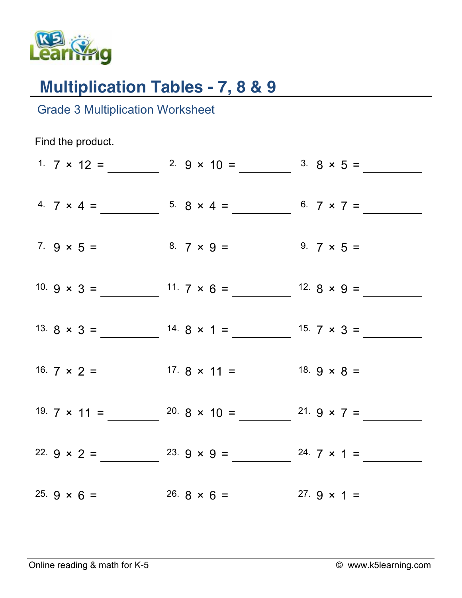

## **Multiplication Tables - 7, 8 & 9**

Grade 3 Multiplication Worksheet

Find the product. 1.  $7 \times 12 =$  2.  $9 \times 10 =$  3.  $8 \times 5 =$ 4.  $7 \times 4 =$  5.  $8 \times 4 =$  6.  $7 \times 7 =$  6.  $7 \times 7 =$  6.  $7 \times 7 =$  6.  $7 \times 7 =$  6.  $1 \times 7 =$  6.  $1 \times 7 =$  6.  $1 \times 7 =$  7.  $1 \times 7 =$  7.  $1 \times 7 =$  7.  $1 \times 7 =$  7.  $1 \times 7 =$  7.  $1 \times 7 =$  7.  $1 \times 7 =$  7.  $1 \times 7 =$  7.  $1 \times 7 =$  7.  $1 \times 7 =$  7.  $1$ 7.  $9 \times 5 =$  8.  $7 \times 9 =$  9.  $7 \times 5 =$ 10.  $9 \times 3 =$  11.  $7 \times 6 =$  12.  $8 \times 9 =$ 13.  $8 \times 3 =$  14.  $8 \times 1 =$  15.  $7 \times 3 =$ 16.  $7 \times 2 =$  17.  $8 \times 11 =$  18.  $9 \times 8 =$ 19.  $7 \times 11 =$  20.  $8 \times 10 =$  21.  $9 \times 7 =$ 22.  $9 \times 2 =$  23.  $9 \times 9 =$  24.  $7 \times 1 =$ 25.  $9 \times 6 =$  26.  $8 \times 6 =$  27.  $9 \times 1 =$